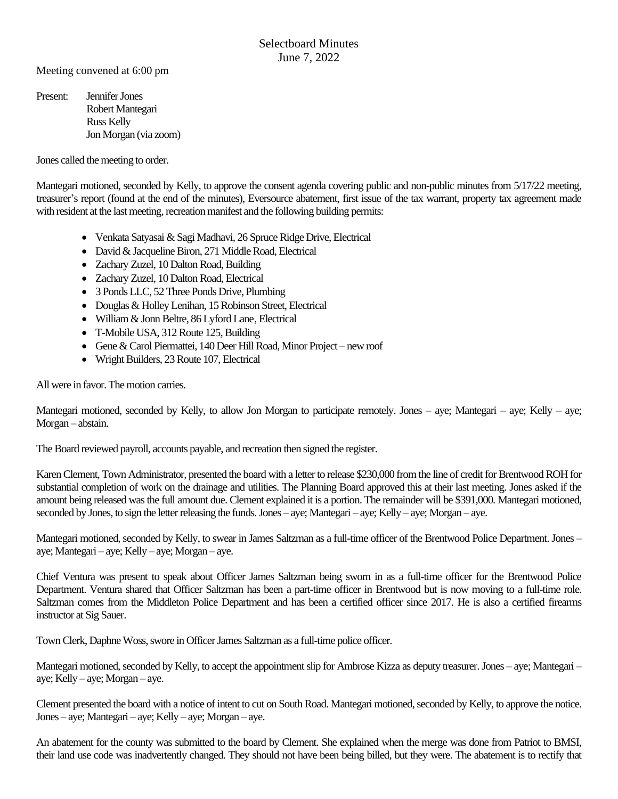Meeting convened at 6:00 pm

Present: Jennifer Jones Robert Mantegari Russ Kelly Jon Morgan (via zoom)

Jones called the meeting to order.

Mantegari motioned, seconded by Kelly, to approve the consent agenda covering public and non-public minutes from 5/17/22 meeting, treasurer's report (found at the end of the minutes), Eversource abatement, first issue of the tax warrant, property tax agreement made with resident at the last meeting, recreation manifest and the following building permits:

- Venkata Satyasai & Sagi Madhavi, 26 Spruce Ridge Drive, Electrical
- David & Jacqueline Biron, 271 Middle Road, Electrical
- Zachary Zuzel, 10 Dalton Road, Building
- Zachary Zuzel, 10 Dalton Road, Electrical
- 3 Ponds LLC, 52 Three Ponds Drive, Plumbing
- Douglas & Holley Lenihan, 15 Robinson Street, Electrical
- William & Jonn Beltre, 86 Lyford Lane, Electrical
- T-Mobile USA, 312 Route 125, Building
- Gene & Carol Piermattei, 140 Deer Hill Road, Minor Project new roof
- Wright Builders, 23 Route 107, Electrical

All were in favor. The motion carries.

Mantegari motioned, seconded by Kelly, to allow Jon Morgan to participate remotely. Jones – aye; Mantegari – aye; Kelly – aye; Morgan – abstain.

The Board reviewed payroll, accounts payable, and recreation then signed the register.

Karen Clement, Town Administrator, presented the board with a letter to release \$230,000 from the line of credit for BrentwoodROH for substantial completion of work on the drainage and utilities. The Planning Board approved this at their last meeting. Jones asked if the amount being released was the full amount due. Clement explained it is a portion. The remainder will be \$391,000. Mantegari motioned, seconded by Jones, to sign the letter releasing the funds. Jones – aye; Mantegari – aye; Kelly – aye; Morgan – aye.

Mantegari motioned, seconded by Kelly, to swear in James Saltzman as a full-time officer of the Brentwood Police Department. Jones – aye; Mantegari – aye; Kelly – aye; Morgan – aye.

Chief Ventura was present to speak about Officer James Saltzman being sworn in as a full-time officer for the Brentwood Police Department. Ventura shared that Officer Saltzman has been a part-time officer in Brentwood but is now moving to a full-time role. Saltzman comes from the Middleton Police Department and has been a certified officer since 2017. He is also a certified firearms instructor at Sig Sauer.

TownClerk, Daphne Woss, swore in Officer James Saltzman as a full-time police officer.

Mantegari motioned, seconded by Kelly, to accept the appointment slip for Ambrose Kizza as deputy treasurer. Jones – aye; Mantegari – aye; Kelly – aye; Morgan – aye.

Clement presented the board with a notice of intent to cut on South Road. Mantegari motioned, seconded by Kelly, to approve the notice. Jones – aye; Mantegari – aye; Kelly – aye; Morgan – aye.

An abatement for the county was submitted to the board by Clement. She explained when the merge was done from Patriot to BMSI, their land use code was inadvertently changed. They should not have been being billed, but they were. The abatement is to rectify that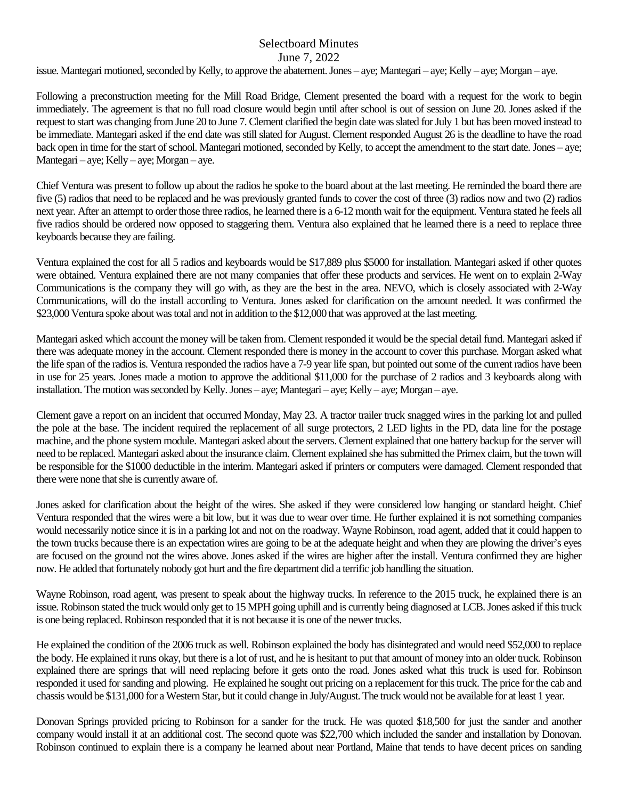issue. Mantegari motioned, seconded by Kelly, to approve the abatement. Jones – aye; Mantegari – aye; Kelly – aye; Morgan – aye.

Following a preconstruction meeting for the Mill Road Bridge, Clement presented the board with a request for the work to begin immediately. The agreement is that no full road closure would begin until after school is out of session on June 20. Jones asked if the request to start was changing from June 20 to June 7. Clement clarified the begin date was slated for July 1 but has been moved instead to be immediate. Mantegari asked if the end date was still slated for August. Clement responded August 26 is the deadline to have the road back open in time for the start of school. Mantegari motioned, seconded by Kelly, to accept the amendment to the start date. Jones – aye; Mantegari – aye; Kelly – aye; Morgan – aye.

Chief Ventura was present to follow up about the radios he spoke to the board about at the last meeting. He reminded the board there are five (5) radios that need to be replaced and he was previously granted funds to cover the cost of three (3) radios now and two (2) radios next year. After an attempt to order those three radios, he learned there is a 6-12 month wait for the equipment. Ventura stated he feels all five radios should be ordered now opposed to staggering them. Ventura also explained that he learned there is a need to replace three keyboards because they are failing.

Ventura explained the cost for all 5 radios and keyboards would be \$17,889 plus \$5000 for installation. Mantegari asked if other quotes were obtained. Ventura explained there are not many companies that offer these products and services. He went on to explain 2-Way Communications is the company they will go with, as they are the best in the area. NEVO, which is closely associated with 2-Way Communications, will do the install according to Ventura. Jones asked for clarification on the amount needed. It was confirmed the \$23,000 Ventura spoke about was total and not in addition to the \$12,000 that was approved at the last meeting.

Mantegari asked which account the money will be taken from. Clement responded it would be the special detail fund. Mantegari asked if there was adequate money in the account. Clement responded there is money in the account to cover this purchase. Morgan asked what the life span of the radios is. Ventura responded the radios have a 7-9 year life span, but pointed out some of the current radios have been in use for 25 years. Jones made a motion to approve the additional \$11,000 for the purchase of 2 radios and 3 keyboards along with installation. The motion was seconded by Kelly. Jones – aye; Mantegari – aye; Kelly – aye; Morgan – aye.

Clement gave a report on an incident that occurred Monday, May 23. A tractor trailer truck snagged wires in the parking lot and pulled the pole at the base. The incident required the replacement of all surge protectors, 2 LED lights in the PD, data line for the postage machine, and the phone system module. Mantegari asked about the servers. Clement explained that one battery backup for the server will need to be replaced. Mantegari asked about the insurance claim.Clement explained she has submitted the Primex claim, but the town will be responsible for the \$1000 deductible in the interim. Mantegari asked if printers or computers were damaged. Clement responded that there were none that she is currently aware of.

Jones asked for clarification about the height of the wires. She asked if they were considered low hanging or standard height. Chief Ventura responded that the wires were a bit low, but it was due to wear over time. He further explained it is not something companies would necessarily notice since it is in a parking lot and not on the roadway. Wayne Robinson, road agent, added that it could happen to the town trucks because there is an expectation wires are going to be at the adequate height and when they are plowing the driver's eyes are focused on the ground not the wires above. Jones asked if the wires are higher after the install. Ventura confirmed they are higher now. He added that fortunately nobody got hurt and the fire department did a terrific job handling the situation.

Wayne Robinson, road agent, was present to speak about the highway trucks. In reference to the 2015 truck, he explained there is an issue. Robinson stated the truck would only get to 15 MPH going uphill and is currently being diagnosed at LCB. Jones asked if this truck is one being replaced. Robinson responded that it is not because it is one of the newer trucks.

He explained the condition of the 2006 truck as well. Robinson explained the body has disintegrated and would need \$52,000 to replace the body. He explained it runs okay, but there is a lot of rust, and he is hesitant to put that amount of money into an older truck. Robinson explained there are springs that will need replacing before it gets onto the road. Jones asked what this truck is used for. Robinson responded it used for sanding and plowing. He explained he sought out pricing on a replacement for this truck. The price for the cab and chassis would be \$131,000 for a Western Star, but it could change in July/August. The truck would not be available for at least 1 year.

Donovan Springs provided pricing to Robinson for a sander for the truck. He was quoted \$18,500 for just the sander and another company would install it at an additional cost. The second quote was \$22,700 which included the sander and installation by Donovan. Robinson continued to explain there is a company he learned about near Portland, Maine that tends to have decent prices on sanding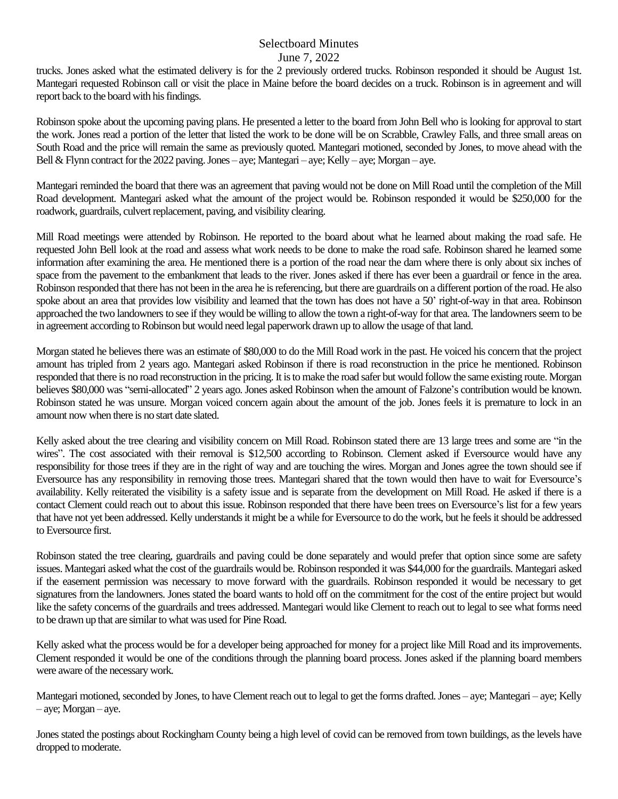trucks. Jones asked what the estimated delivery is for the 2 previously ordered trucks. Robinson responded it should be August 1st. Mantegari requested Robinson call or visit the place in Maine before the board decides on a truck. Robinson is in agreement and will report back to the board with his findings.

Robinson spoke about the upcoming paving plans. He presented a letter to the board from John Bell who is looking for approval to start the work. Jones read a portion of the letter that listed the work to be done will be on Scrabble, Crawley Falls, and three small areas on South Road and the price will remain the same as previously quoted. Mantegari motioned, seconded by Jones, to move ahead with the Bell & Flynn contract for the 2022 paving. Jones – aye; Mantegari – aye; Kelly – aye; Morgan – aye.

Mantegari reminded the board that there was an agreement that paving would not be done on Mill Road until the completion of the Mill Road development. Mantegari asked what the amount of the project would be. Robinson responded it would be \$250,000 for the roadwork, guardrails, culvert replacement, paving, and visibility clearing.

Mill Road meetings were attended by Robinson. He reported to the board about what he learned about making the road safe. He requested John Bell look at the road and assess what work needs to be done to make the road safe. Robinson shared he learned some information after examining the area. He mentioned there is a portion of the road near the dam where there is only about six inches of space from the pavement to the embankment that leads to the river. Jones asked if there has ever been a guardrail or fence in the area. Robinson responded that there has not been in the area he is referencing, but there are guardrails on a different portion of the road. He also spoke about an area that provides low visibility and learned that the town has does not have a 50' right-of-way in that area. Robinson approached the two landowners to see if they would be willing to allow the town a right-of-way for that area. The landowners seem to be in agreement according to Robinson but would need legal paperwork drawn up to allow the usage of that land.

Morgan stated he believes there was an estimate of \$80,000 to do the Mill Road work in the past. He voiced his concern that the project amount has tripled from 2 years ago. Mantegari asked Robinson if there is road reconstruction in the price he mentioned. Robinson responded that there is no road reconstruction in the pricing. It is to make the road safer but would follow the same existing route. Morgan believes \$80,000 was "semi-allocated" 2 years ago. Jones asked Robinson when the amount of Falzone's contribution would be known. Robinson stated he was unsure. Morgan voiced concern again about the amount of the job. Jones feels it is premature to lock in an amount now when there is no start date slated.

Kelly asked about the tree clearing and visibility concern on Mill Road. Robinson stated there are 13 large trees and some are "in the wires". The cost associated with their removal is \$12,500 according to Robinson. Clement asked if Eversource would have any responsibility for those trees if they are in the right of way and are touching the wires. Morgan and Jones agree the town should see if Eversource has any responsibility in removing those trees. Mantegari shared that the town would then have to wait for Eversource's availability. Kelly reiterated the visibility is a safety issue and is separate from the development on Mill Road. He asked if there is a contact Clement could reach out to about this issue. Robinson responded that there have been trees on Eversource's list for a few years that have not yet been addressed. Kelly understands it might be a while for Eversource to do the work, but he feels it should be addressed to Eversource first.

Robinson stated the tree clearing, guardrails and paving could be done separately and would prefer that option since some are safety issues. Mantegari asked what the cost of the guardrails would be. Robinson responded it was \$44,000 for the guardrails. Mantegari asked if the easement permission was necessary to move forward with the guardrails. Robinson responded it would be necessary to get signatures from the landowners. Jones stated the board wants to hold off on the commitment for the cost of the entire project but would like the safety concerns of the guardrails and trees addressed. Mantegari would like Clement to reach out to legal to see what forms need to be drawn up that are similar to what was used for Pine Road.

Kelly asked what the process would be for a developer being approached for money for a project like Mill Road and its improvements. Clement responded it would be one of the conditions through the planning board process. Jones asked if the planning board members were aware of the necessary work.

Mantegari motioned, seconded by Jones, to have Clement reach out to legal to get the forms drafted. Jones – aye; Mantegari – aye; Kelly – aye; Morgan – aye.

Jones stated the postings about Rockingham County being a high level of covid can be removed from town buildings, as the levels have dropped to moderate.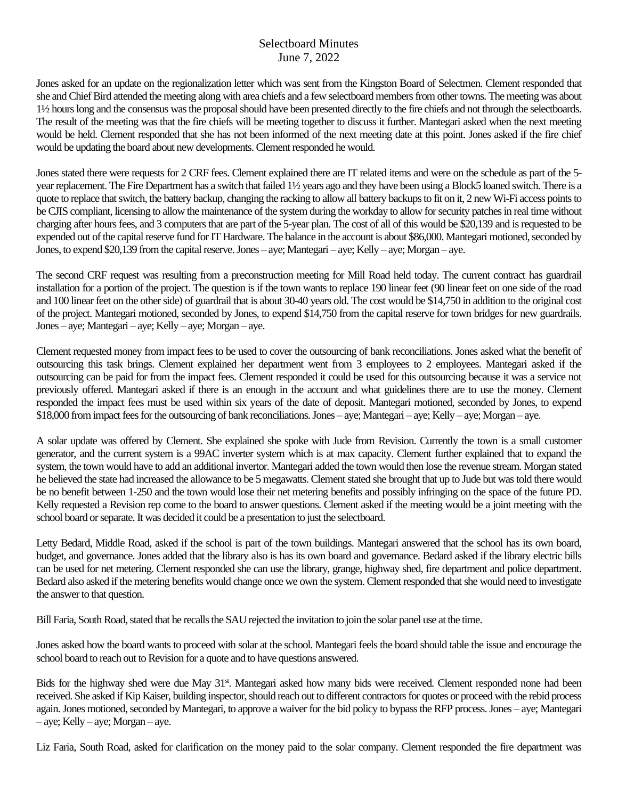Jones asked for an update on the regionalization letter which was sent from the Kingston Board of Selectmen. Clement responded that she and Chief Bird attended the meeting along with area chiefs and a few selectboard members from other towns. The meeting was about 1½ hours long and the consensus was the proposalshould have been presented directly to the fire chiefs and not through the selectboards. The result of the meeting was that the fire chiefs will be meeting together to discuss it further. Mantegari asked when the next meeting would be held. Clement responded that she has not been informed of the next meeting date at this point. Jones asked if the fire chief would be updating the board about new developments. Clement responded he would.

Jones stated there were requests for 2 CRF fees. Clement explained there are IT related items and were on the schedule as part of the 5 year replacement. The Fire Department has a switch that failed 1½ years ago and they have been using a Block5 loaned switch. There is a quote to replace that switch, the battery backup, changing the racking to allow all battery backups to fit on it, 2 new Wi-Fi access points to be CJIS compliant, licensing to allow the maintenance of the system during the workday to allow for security patches in real time without charging after hours fees, and 3 computers that are part of the 5-year plan. The cost of all of this would be \$20,139 and is requested to be expended out of the capital reserve fund for IT Hardware. The balance in the account is about \$86,000. Mantegari motioned, seconded by Jones, to expend \$20,139 from the capital reserve. Jones – aye; Mantegari – aye; Kelly – aye; Morgan – aye.

The second CRF request was resulting from a preconstruction meeting for Mill Road held today. The current contract has guardrail installation for a portion of the project. The question is if the town wants to replace 190 linear feet (90 linear feet on one side of the road and 100 linear feet on the other side) of guardrail that is about 30-40 years old. The cost would be \$14,750 in addition to the original cost of the project. Mantegari motioned, seconded by Jones, to expend \$14,750 from the capital reserve for town bridges for new guardrails. Jones – aye; Mantegari – aye; Kelly – aye; Morgan – aye.

Clement requested money from impact fees to be used to cover the outsourcing of bank reconciliations. Jones asked what the benefit of outsourcing this task brings. Clement explained her department went from 3 employees to 2 employees. Mantegari asked if the outsourcing can be paid for from the impact fees. Clement responded it could be used for this outsourcing because it was a service not previously offered. Mantegari asked if there is an enough in the account and what guidelines there are to use the money. Clement responded the impact fees must be used within six years of the date of deposit. Mantegari motioned, seconded by Jones, to expend \$18,000 from impact fees for the outsourcing of bank reconciliations.Jones – aye; Mantegari – aye; Kelly – aye; Morgan – aye.

A solar update was offered by Clement. She explained she spoke with Jude from Revision. Currently the town is a small customer generator, and the current system is a 99AC inverter system which is at max capacity. Clement further explained that to expand the system, the town would have to add an additional invertor. Mantegari added the town would then lose the revenue stream. Morgan stated he believed the state had increased the allowance to be 5 megawatts. Clement stated she brought that up to Jude but was told there would be no benefit between 1-250 and the town would lose their net metering benefits and possibly infringing on the space of the future PD. Kelly requested a Revision rep come to the board to answer questions. Clement asked if the meeting would be a joint meeting with the school board or separate. It was decided it could be a presentation to just the selectboard.

Letty Bedard, Middle Road, asked if the school is part of the town buildings. Mantegari answered that the school has its own board, budget, and governance. Jones added that the library also is has its own board and governance. Bedard asked if the library electric bills can be used for net metering. Clement responded she can use the library, grange, highway shed, fire department and police department. Bedard also asked if the metering benefits would change once we own the system. Clement responded that she would need to investigate the answer to that question.

Bill Faria, South Road, stated that he recalls the SAU rejected the invitation to join the solar panel use at the time.

Jones asked how the board wants to proceed with solar at the school. Mantegari feels the board should table the issue and encourage the school board to reach out to Revision for a quote and to have questions answered.

Bids for the highway shed were due May 31<sup>st</sup>. Mantegari asked how many bids were received. Clement responded none had been received. She asked if Kip Kaiser, building inspector, should reach out to different contractorsfor quotes or proceed with the rebid process again.Jones motioned, seconded by Mantegari, to approve a waiver for the bid policy to bypass the RFP process.Jones – aye; Mantegari  $-$  aye; Kelly  $-$  aye; Morgan  $-$  aye.

Liz Faria, South Road, asked for clarification on the money paid to the solar company. Clement responded the fire department was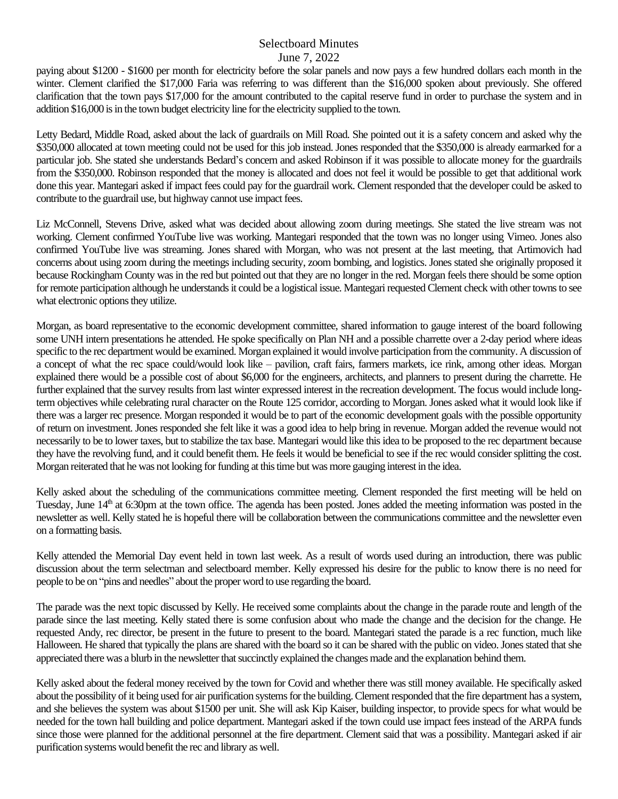paying about \$1200 - \$1600 per month for electricity before the solar panels and now pays a few hundred dollars each month in the winter. Clement clarified the \$17,000 Faria was referring to was different than the \$16,000 spoken about previously. She offered clarification that the town pays \$17,000 for the amount contributed to the capital reserve fund in order to purchase the system and in addition \$16,000 is in the town budget electricity line for the electricity supplied to the town.

Letty Bedard, Middle Road, asked about the lack of guardrails on Mill Road. She pointed out it is a safety concern and asked why the \$350,000 allocated at town meeting could not be used for this job instead. Jones responded that the \$350,000 is already earmarked for a particular job. She stated she understands Bedard's concern and asked Robinson if it was possible to allocate money for the guardrails from the \$350,000. Robinson responded that the money is allocated and does not feel it would be possible to get that additional work done this year. Mantegari asked if impact fees could pay for the guardrail work. Clement responded that the developer could be asked to contribute to the guardrail use, but highway cannot use impact fees.

Liz McConnell, Stevens Drive, asked what was decided about allowing zoom during meetings. She stated the live stream was not working. Clement confirmed YouTube live was working. Mantegari responded that the town was no longer using Vimeo. Jones also confirmed YouTube live was streaming. Jones shared with Morgan, who was not present at the last meeting, that Artimovich had concerns about using zoom during the meetings including security, zoom bombing, and logistics. Jones stated she originally proposed it because Rockingham County was in the red but pointed out that they are no longer in the red. Morgan feels there should be some option for remote participation although he understands it could be a logistical issue. Mantegari requested Clement check with other towns to see what electronic options they utilize.

Morgan, as board representative to the economic development committee, shared information to gauge interest of the board following some UNH intern presentations he attended. He spoke specifically on Plan NH and a possible charrette over a 2-day period where ideas specific to the rec department would be examined. Morgan explained it would involve participation from the community. A discussion of a concept of what the rec space could/would look like – pavilion, craft fairs, farmers markets, ice rink, among other ideas. Morgan explained there would be a possible cost of about \$6,000 for the engineers, architects, and planners to present during the charrette. He further explained that the survey results from last winter expressed interest in the recreation development. The focus would include longterm objectives while celebrating rural character on the Route 125 corridor, according to Morgan. Jones asked what it would look like if there was a larger rec presence. Morgan responded it would be to part of the economic development goals with the possible opportunity of return on investment. Jones responded she felt like it was a good idea to help bring in revenue. Morgan added the revenue would not necessarily to be to lower taxes, but to stabilize the tax base. Mantegari would like this idea to be proposed to the rec department because they have the revolving fund, and it could benefit them. He feels it would be beneficial to see if the rec would consider splitting the cost. Morgan reiterated that he was not looking for funding at this time but was more gauging interest in the idea.

Kelly asked about the scheduling of the communications committee meeting. Clement responded the first meeting will be held on Tuesday, June 14<sup>th</sup> at 6:30pm at the town office. The agenda has been posted. Jones added the meeting information was posted in the newsletter as well. Kelly stated he is hopeful there will be collaboration between the communications committee and the newsletter even on a formatting basis.

Kelly attended the Memorial Day event held in town last week. As a result of words used during an introduction, there was public discussion about the term selectman and selectboard member. Kelly expressed his desire for the public to know there is no need for people to be on "pins and needles" about the proper word to use regarding the board.

The parade was the next topic discussed by Kelly. He received some complaints about the change in the parade route and length of the parade since the last meeting. Kelly stated there is some confusion about who made the change and the decision for the change. He requested Andy, rec director, be present in the future to present to the board. Mantegari stated the parade is a rec function, much like Halloween. He shared that typically the plans are shared with the board so it can be shared with the public on video.Jones stated that she appreciated there was a blurb in the newsletter that succinctly explained the changes made and the explanation behind them.

Kelly asked about the federal money received by the town for Covid and whether there was still money available. He specifically asked about the possibility of it being used for air purification systems for the building. Clement responded that the fire department has a system, and she believes the system was about \$1500 per unit. She will ask Kip Kaiser, building inspector, to provide specs for what would be needed for the town hall building and police department. Mantegari asked if the town could use impact fees instead of the ARPA funds since those were planned for the additional personnel at the fire department. Clement said that was a possibility. Mantegari asked if air purification systems would benefit the rec and library as well.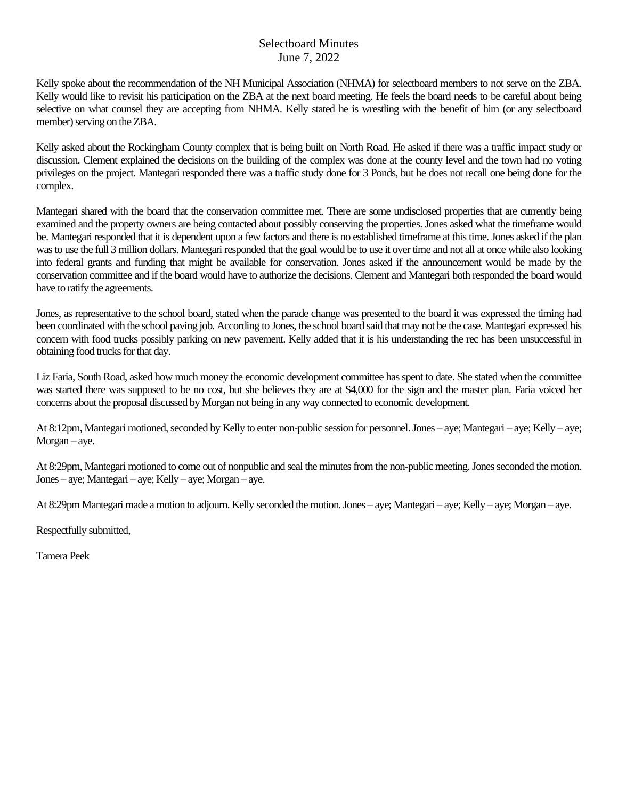Kelly spoke about the recommendation of the NH Municipal Association (NHMA) for selectboard members to not serve on the ZBA. Kelly would like to revisit his participation on the ZBA at the next board meeting. He feels the board needs to be careful about being selective on what counsel they are accepting from NHMA. Kelly stated he is wrestling with the benefit of him (or any selectboard member) serving on the ZBA.

Kelly asked about the Rockingham County complex that is being built on North Road. He asked if there was a traffic impact study or discussion. Clement explained the decisions on the building of the complex was done at the county level and the town had no voting privileges on the project. Mantegari responded there was a traffic study done for 3 Ponds, but he does not recall one being done for the complex.

Mantegari shared with the board that the conservation committee met. There are some undisclosed properties that are currently being examined and the property owners are being contacted about possibly conserving the properties. Jones asked what the timeframe would be. Mantegari responded that it is dependent upon a few factors and there is no established timeframe at this time. Jones asked if the plan was to use the full 3 million dollars. Mantegari responded that the goal would be to use it over time and not all at once while also looking into federal grants and funding that might be available for conservation. Jones asked if the announcement would be made by the conservation committee and if the board would have to authorize the decisions. Clement and Mantegari both responded the board would have to ratify the agreements.

Jones, as representative to the school board, stated when the parade change was presented to the board it was expressed the timing had been coordinated with the school paving job. According to Jones, the school board said that may not be the case. Mantegari expressed his concern with food trucks possibly parking on new pavement. Kelly added that it is his understanding the rec has been unsuccessful in obtaining food trucks for that day.

Liz Faria, South Road, asked how much money the economic development committee has spent to date. She stated when the committee was started there was supposed to be no cost, but she believes they are at \$4,000 for the sign and the master plan. Faria voiced her concerns about the proposal discussed by Morgan not being in any way connected to economic development.

At 8:12pm, Mantegari motioned, seconded by Kelly to enter non-public session for personnel. Jones – aye; Mantegari – aye; Kelly – aye; Morgan – aye.

At 8:29pm, Mantegari motioned to come out of nonpublic and seal the minutes from the non-public meeting. Jones seconded the motion. Jones – aye; Mantegari – aye; Kelly – aye; Morgan – aye.

At 8:29pm Mantegari made a motion to adjourn. Kelly seconded the motion. Jones – aye; Mantegari – aye; Kelly – aye; Morgan – aye.

Respectfully submitted,

Tamera Peek